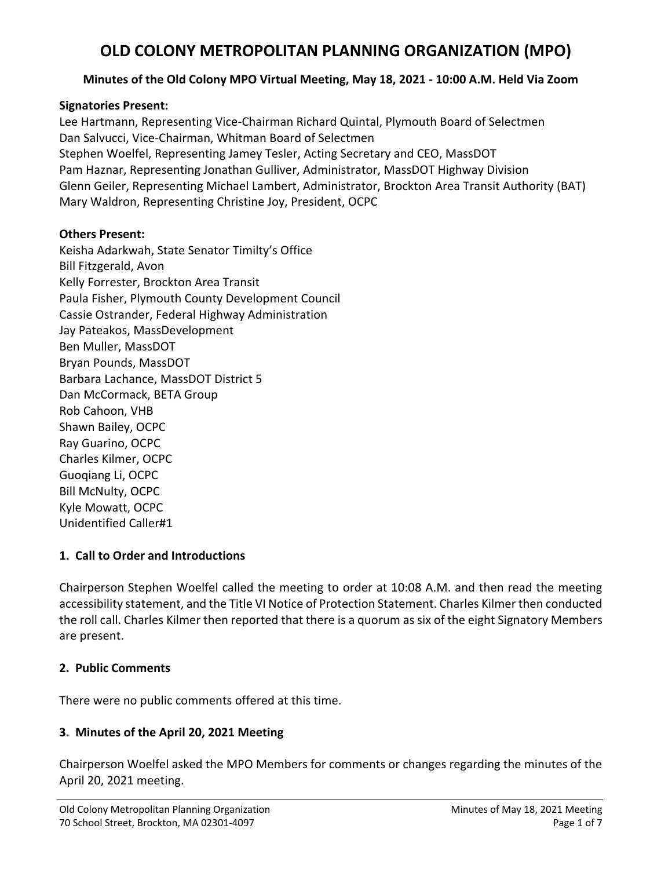### **Minutes of the Old Colony MPO Virtual Meeting, May 18, 2021 ‐ 10:00 A.M. Held Via Zoom**

#### **Signatories Present:**

Lee Hartmann, Representing Vice‐Chairman Richard Quintal, Plymouth Board of Selectmen Dan Salvucci, Vice‐Chairman, Whitman Board of Selectmen Stephen Woelfel, Representing Jamey Tesler, Acting Secretary and CEO, MassDOT Pam Haznar, Representing Jonathan Gulliver, Administrator, MassDOT Highway Division Glenn Geiler, Representing Michael Lambert, Administrator, Brockton Area Transit Authority (BAT) Mary Waldron, Representing Christine Joy, President, OCPC

#### **Others Present:**

Keisha Adarkwah, State Senator Timilty's Office Bill Fitzgerald, Avon Kelly Forrester, Brockton Area Transit Paula Fisher, Plymouth County Development Council Cassie Ostrander, Federal Highway Administration Jay Pateakos, MassDevelopment Ben Muller, MassDOT Bryan Pounds, MassDOT Barbara Lachance, MassDOT District 5 Dan McCormack, BETA Group Rob Cahoon, VHB Shawn Bailey, OCPC Ray Guarino, OCPC Charles Kilmer, OCPC Guoqiang Li, OCPC Bill McNulty, OCPC Kyle Mowatt, OCPC Unidentified Caller#1

### **1. Call to Order and Introductions**

Chairperson Stephen Woelfel called the meeting to order at 10:08 A.M. and then read the meeting accessibility statement, and the Title VI Notice of Protection Statement. Charles Kilmer then conducted the roll call. Charles Kilmer then reported that there is a quorum as six of the eight Signatory Members are present.

### **2. Public Comments**

There were no public comments offered at this time.

## **3. Minutes of the April 20, 2021 Meeting**

Chairperson Woelfel asked the MPO Members for comments or changes regarding the minutes of the April 20, 2021 meeting.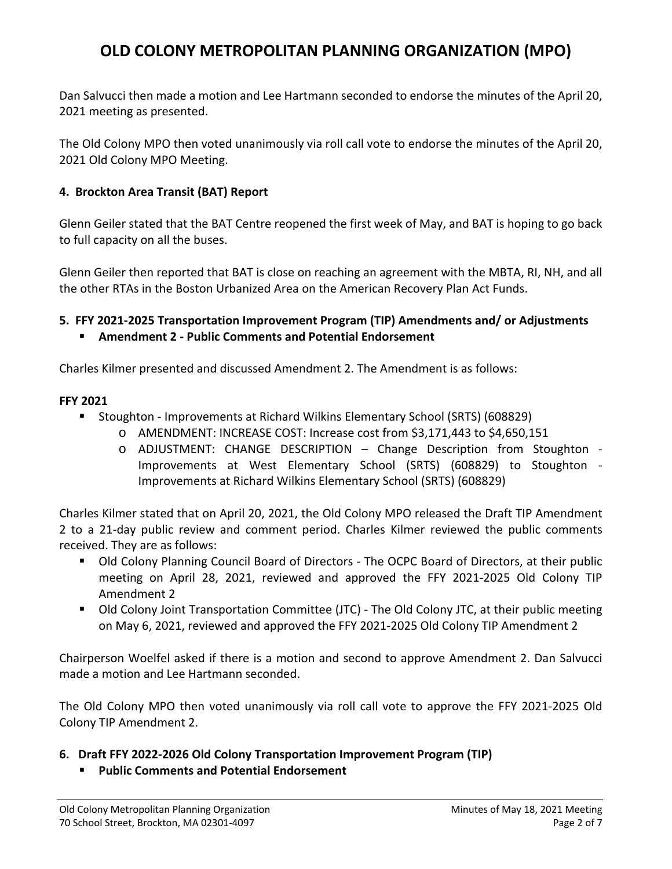Dan Salvucci then made a motion and Lee Hartmann seconded to endorse the minutes of the April 20, 2021 meeting as presented.

The Old Colony MPO then voted unanimously via roll call vote to endorse the minutes of the April 20, 2021 Old Colony MPO Meeting.

### **4. Brockton Area Transit (BAT) Report**

Glenn Geiler stated that the BAT Centre reopened the first week of May, and BAT is hoping to go back to full capacity on all the buses.

Glenn Geiler then reported that BAT is close on reaching an agreement with the MBTA, RI, NH, and all the other RTAs in the Boston Urbanized Area on the American Recovery Plan Act Funds.

### **5. FFY 2021‐2025 Transportation Improvement Program (TIP) Amendments and/ or Adjustments**

**Amendment 2 ‐ Public Comments and Potential Endorsement** 

Charles Kilmer presented and discussed Amendment 2. The Amendment is as follows:

### **FFY 2021**

- Stoughton Improvements at Richard Wilkins Elementary School (SRTS) (608829)
	- o AMENDMENT: INCREASE COST: Increase cost from \$3,171,443 to \$4,650,151
	- o ADJUSTMENT: CHANGE DESCRIPTION Change Description from Stoughton ‐ Improvements at West Elementary School (SRTS) (608829) to Stoughton ‐ Improvements at Richard Wilkins Elementary School (SRTS) (608829)

Charles Kilmer stated that on April 20, 2021, the Old Colony MPO released the Draft TIP Amendment 2 to a 21-day public review and comment period. Charles Kilmer reviewed the public comments received. They are as follows:

- Old Colony Planning Council Board of Directors The OCPC Board of Directors, at their public meeting on April 28, 2021, reviewed and approved the FFY 2021‐2025 Old Colony TIP Amendment 2
- Old Colony Joint Transportation Committee (JTC) The Old Colony JTC, at their public meeting on May 6, 2021, reviewed and approved the FFY 2021‐2025 Old Colony TIP Amendment 2

Chairperson Woelfel asked if there is a motion and second to approve Amendment 2. Dan Salvucci made a motion and Lee Hartmann seconded.

The Old Colony MPO then voted unanimously via roll call vote to approve the FFY 2021-2025 Old Colony TIP Amendment 2.

### **6. Draft FFY 2022‐2026 Old Colony Transportation Improvement Program (TIP)**

**Public Comments and Potential Endorsement**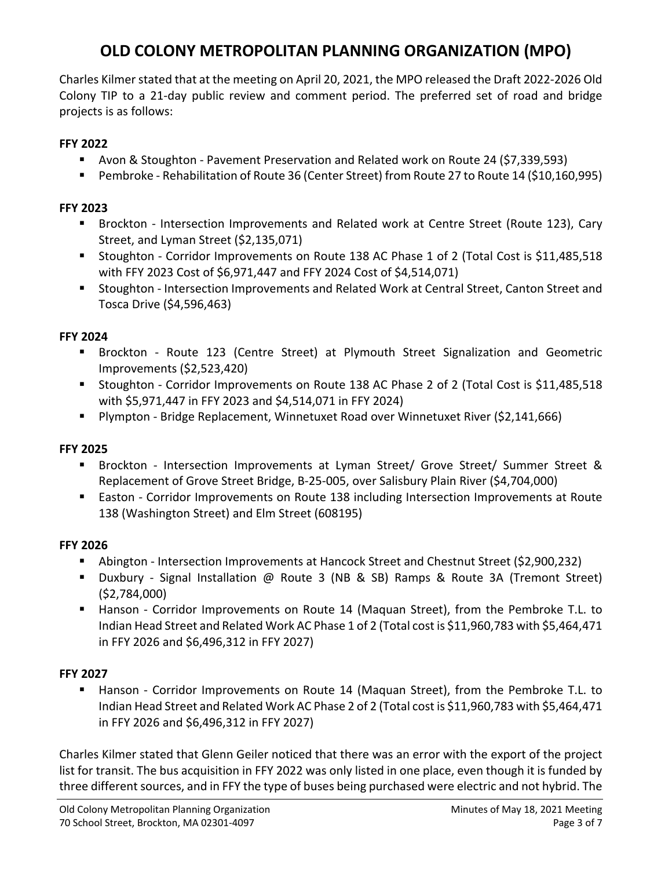Charles Kilmer stated that at the meeting on April 20, 2021, the MPO released the Draft 2022‐2026 Old Colony TIP to a 21‐day public review and comment period. The preferred set of road and bridge projects is as follows:

### **FFY 2022**

- Avon & Stoughton Pavement Preservation and Related work on Route 24 (\$7,339,593)
- Pembroke Rehabilitation of Route 36 (Center Street) from Route 27 to Route 14 (\$10,160,995)

### **FFY 2023**

- Brockton Intersection Improvements and Related work at Centre Street (Route 123), Cary Street, and Lyman Street (\$2,135,071)
- Stoughton Corridor Improvements on Route 138 AC Phase 1 of 2 (Total Cost is \$11,485,518 with FFY 2023 Cost of \$6,971,447 and FFY 2024 Cost of \$4,514,071)
- Stoughton Intersection Improvements and Related Work at Central Street, Canton Street and Tosca Drive (\$4,596,463)

### **FFY 2024**

- Brockton Route 123 (Centre Street) at Plymouth Street Signalization and Geometric Improvements (\$2,523,420)
- Stoughton Corridor Improvements on Route 138 AC Phase 2 of 2 (Total Cost is \$11,485,518 with \$5,971,447 in FFY 2023 and \$4,514,071 in FFY 2024)
- Plympton Bridge Replacement, Winnetuxet Road over Winnetuxet River (\$2,141,666)

## **FFY 2025**

- Brockton Intersection Improvements at Lyman Street/ Grove Street/ Summer Street & Replacement of Grove Street Bridge, B‐25‐005, over Salisbury Plain River (\$4,704,000)
- Easton Corridor Improvements on Route 138 including Intersection Improvements at Route 138 (Washington Street) and Elm Street (608195)

### **FFY 2026**

- Abington ‐ Intersection Improvements at Hancock Street and Chestnut Street (\$2,900,232)
- Duxbury Signal Installation @ Route 3 (NB & SB) Ramps & Route 3A (Tremont Street) (\$2,784,000)
- Hanson Corridor Improvements on Route 14 (Maquan Street), from the Pembroke T.L. to Indian Head Street and Related Work AC Phase 1 of 2 (Total cost is \$11,960,783 with \$5,464,471 in FFY 2026 and \$6,496,312 in FFY 2027)

### **FFY 2027**

Hanson - Corridor Improvements on Route 14 (Maquan Street), from the Pembroke T.L. to Indian Head Street and Related Work AC Phase 2 of 2 (Total cost is \$11,960,783 with \$5,464,471 in FFY 2026 and \$6,496,312 in FFY 2027)

Charles Kilmer stated that Glenn Geiler noticed that there was an error with the export of the project list for transit. The bus acquisition in FFY 2022 was only listed in one place, even though it is funded by three different sources, and in FFY the type of buses being purchased were electric and not hybrid. The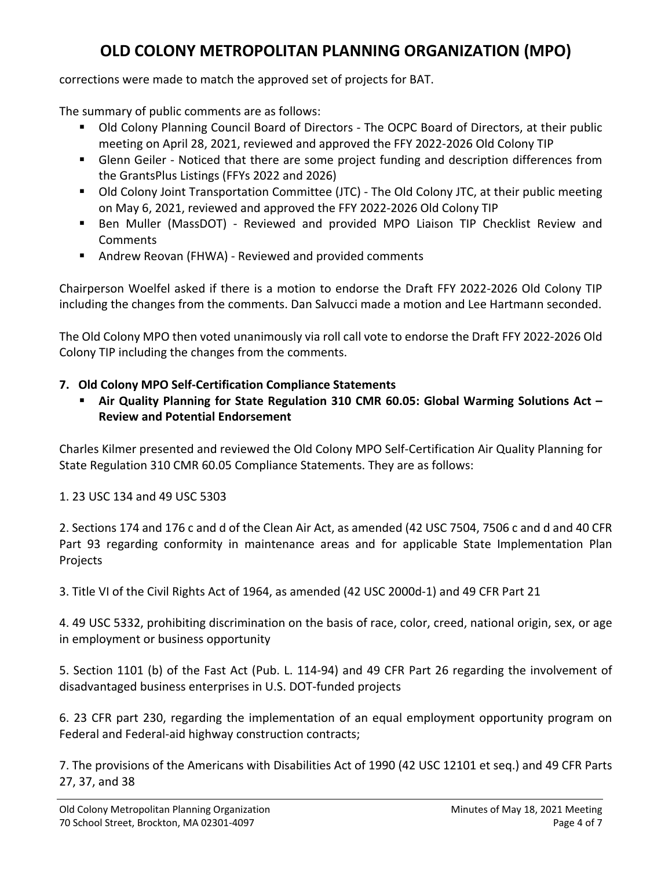corrections were made to match the approved set of projects for BAT.

The summary of public comments are as follows:

- Old Colony Planning Council Board of Directors The OCPC Board of Directors, at their public meeting on April 28, 2021, reviewed and approved the FFY 2022‐2026 Old Colony TIP
- Glenn Geiler Noticed that there are some project funding and description differences from the GrantsPlus Listings (FFYs 2022 and 2026)
- Old Colony Joint Transportation Committee (JTC) The Old Colony JTC, at their public meeting on May 6, 2021, reviewed and approved the FFY 2022‐2026 Old Colony TIP
- Ben Muller (MassDOT) Reviewed and provided MPO Liaison TIP Checklist Review and Comments
- Andrew Reovan (FHWA) Reviewed and provided comments

Chairperson Woelfel asked if there is a motion to endorse the Draft FFY 2022‐2026 Old Colony TIP including the changes from the comments. Dan Salvucci made a motion and Lee Hartmann seconded.

The Old Colony MPO then voted unanimously via roll call vote to endorse the Draft FFY 2022‐2026 Old Colony TIP including the changes from the comments.

## **7. Old Colony MPO Self‐Certification Compliance Statements**

 **Air Quality Planning for State Regulation 310 CMR 60.05: Global Warming Solutions Act – Review and Potential Endorsement** 

Charles Kilmer presented and reviewed the Old Colony MPO Self‐Certification Air Quality Planning for State Regulation 310 CMR 60.05 Compliance Statements. They are as follows:

## 1. 23 USC 134 and 49 USC 5303

2. Sections 174 and 176 c and d of the Clean Air Act, as amended (42 USC 7504, 7506 c and d and 40 CFR Part 93 regarding conformity in maintenance areas and for applicable State Implementation Plan Projects

3. Title VI of the Civil Rights Act of 1964, as amended (42 USC 2000d‐1) and 49 CFR Part 21

4. 49 USC 5332, prohibiting discrimination on the basis of race, color, creed, national origin, sex, or age in employment or business opportunity

5. Section 1101 (b) of the Fast Act (Pub. L. 114‐94) and 49 CFR Part 26 regarding the involvement of disadvantaged business enterprises in U.S. DOT‐funded projects

6. 23 CFR part 230, regarding the implementation of an equal employment opportunity program on Federal and Federal-aid highway construction contracts;

7. The provisions of the Americans with Disabilities Act of 1990 (42 USC 12101 et seq.) and 49 CFR Parts 27, 37, and 38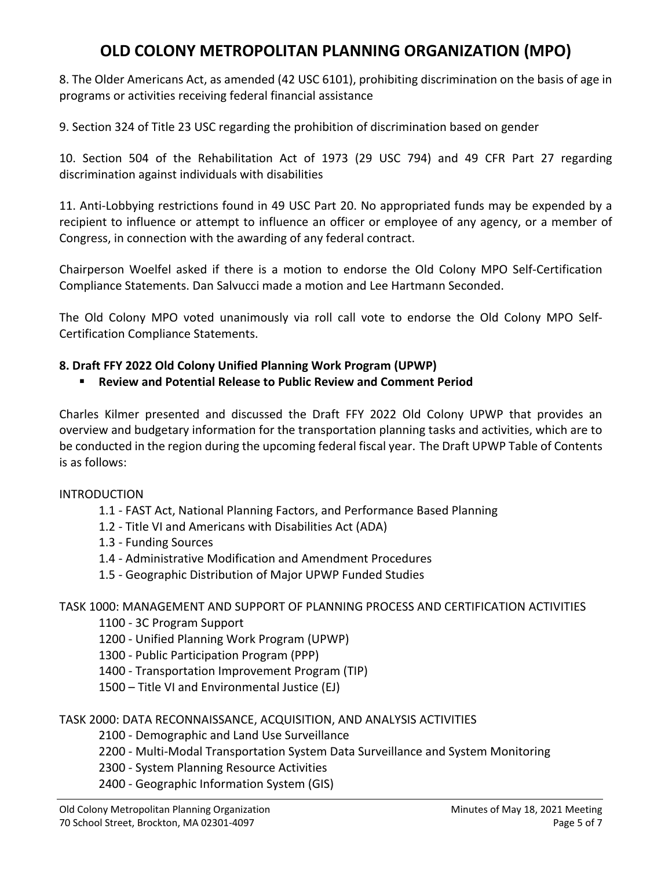8. The Older Americans Act, as amended (42 USC 6101), prohibiting discrimination on the basis of age in programs or activities receiving federal financial assistance

9. Section 324 of Title 23 USC regarding the prohibition of discrimination based on gender

10. Section 504 of the Rehabilitation Act of 1973 (29 USC 794) and 49 CFR Part 27 regarding discrimination against individuals with disabilities

11. Anti-Lobbying restrictions found in 49 USC Part 20. No appropriated funds may be expended by a recipient to influence or attempt to influence an officer or employee of any agency, or a member of Congress, in connection with the awarding of any federal contract.

Chairperson Woelfel asked if there is a motion to endorse the Old Colony MPO Self‐Certification Compliance Statements. Dan Salvucci made a motion and Lee Hartmann Seconded.

The Old Colony MPO voted unanimously via roll call vote to endorse the Old Colony MPO Self‐ Certification Compliance Statements.

### **8. Draft FFY 2022 Old Colony Unified Planning Work Program (UPWP)**

**Review and Potential Release to Public Review and Comment Period** 

Charles Kilmer presented and discussed the Draft FFY 2022 Old Colony UPWP that provides an overview and budgetary information for the transportation planning tasks and activities, which are to be conducted in the region during the upcoming federal fiscal year. The Draft UPWP Table of Contents is as follows:

### INTRODUCTION

- 1.1 ‐ FAST Act, National Planning Factors, and Performance Based Planning
- 1.2 ‐ Title VI and Americans with Disabilities Act (ADA)
- 1.3 ‐ Funding Sources
- 1.4 ‐ Administrative Modification and Amendment Procedures
- 1.5 ‐ Geographic Distribution of Major UPWP Funded Studies

## TASK 1000: MANAGEMENT AND SUPPORT OF PLANNING PROCESS AND CERTIFICATION ACTIVITIES

- 1100 ‐ 3C Program Support
- 1200 ‐ Unified Planning Work Program (UPWP)
- 1300 ‐ Public Participation Program (PPP)
- 1400 ‐ Transportation Improvement Program (TIP)
- 1500 Title VI and Environmental Justice (EJ)

### TASK 2000: DATA RECONNAISSANCE, ACQUISITION, AND ANALYSIS ACTIVITIES

- 2100 ‐ Demographic and Land Use Surveillance
- 2200 ‐ Multi‐Modal Transportation System Data Surveillance and System Monitoring
- 2300 ‐ System Planning Resource Activities
- 2400 ‐ Geographic Information System (GIS)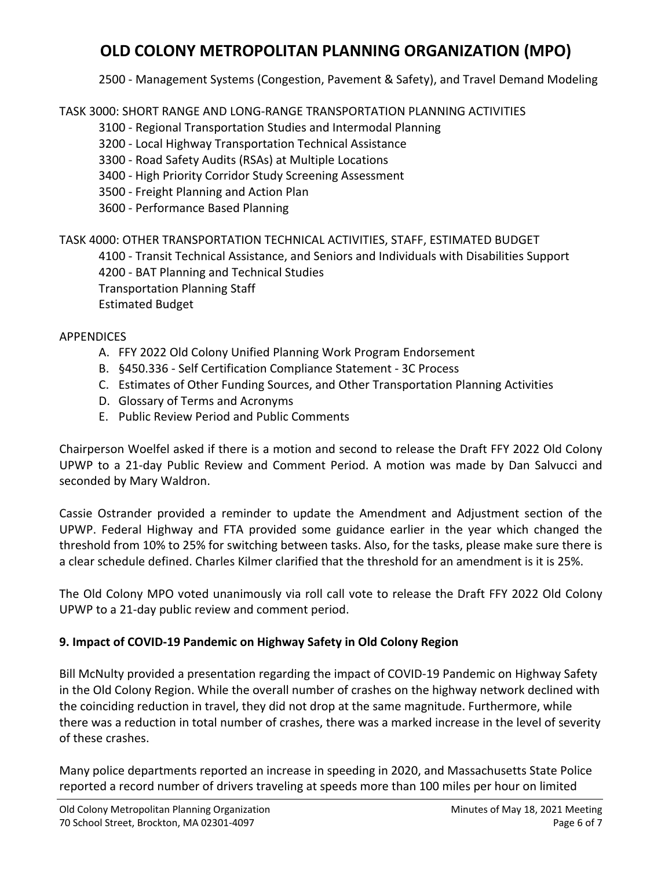2500 ‐ Management Systems (Congestion, Pavement & Safety), and Travel Demand Modeling

TASK 3000: SHORT RANGE AND LONG‐RANGE TRANSPORTATION PLANNING ACTIVITIES

3100 ‐ Regional Transportation Studies and Intermodal Planning

3200 ‐ Local Highway Transportation Technical Assistance

- 3300 ‐ Road Safety Audits (RSAs) at Multiple Locations
- 3400 ‐ High Priority Corridor Study Screening Assessment
- 3500 ‐ Freight Planning and Action Plan
- 3600 ‐ Performance Based Planning

## TASK 4000: OTHER TRANSPORTATION TECHNICAL ACTIVITIES, STAFF, ESTIMATED BUDGET

4100 ‐ Transit Technical Assistance, and Seniors and Individuals with Disabilities Support

4200 ‐ BAT Planning and Technical Studies

Transportation Planning Staff

Estimated Budget

## APPENDICES

- A. FFY 2022 Old Colony Unified Planning Work Program Endorsement
- B. §450.336 ‐ Self Certification Compliance Statement ‐ 3C Process
- C. Estimates of Other Funding Sources, and Other Transportation Planning Activities
- D. Glossary of Terms and Acronyms
- E. Public Review Period and Public Comments

Chairperson Woelfel asked if there is a motion and second to release the Draft FFY 2022 Old Colony UPWP to a 21-day Public Review and Comment Period. A motion was made by Dan Salvucci and seconded by Mary Waldron.

Cassie Ostrander provided a reminder to update the Amendment and Adjustment section of the UPWP. Federal Highway and FTA provided some guidance earlier in the year which changed the threshold from 10% to 25% for switching between tasks. Also, for the tasks, please make sure there is a clear schedule defined. Charles Kilmer clarified that the threshold for an amendment is it is 25%.

The Old Colony MPO voted unanimously via roll call vote to release the Draft FFY 2022 Old Colony UPWP to a 21‐day public review and comment period.

## **9. Impact of COVID‐19 Pandemic on Highway Safety in Old Colony Region**

Bill McNulty provided a presentation regarding the impact of COVID‐19 Pandemic on Highway Safety in the Old Colony Region. While the overall number of crashes on the highway network declined with the coinciding reduction in travel, they did not drop at the same magnitude. Furthermore, while there was a reduction in total number of crashes, there was a marked increase in the level of severity of these crashes.

Many police departments reported an increase in speeding in 2020, and Massachusetts State Police reported a record number of drivers traveling at speeds more than 100 miles per hour on limited